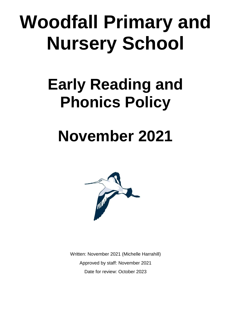# **Woodfall Primary and Nursery School**

### **Early Reading and Phonics Policy**

## **November 2021**



Written: November 2021 (Michelle Harrahill) Approved by staff: November 2021 Date for review: October 2023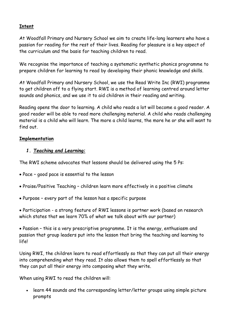#### **Intent**

At Woodfall Primary and Nursery School we aim to create life-long learners who have a passion for reading for the rest of their lives. Reading for pleasure is a key aspect of the curriculum and the basis for teaching children to read.

We recognise the importance of teaching a systematic synthetic phonics programme to prepare children for learning to read by developing their phonic knowledge and skills.

At Woodfall Primary and Nursery School, we use the Read Write Inc (RWI) programme to get children off to a flying start. RWI is a method of learning centred around letter sounds and phonics, and we use it to aid children in their reading and writing.

Reading opens the door to learning. A child who reads a lot will become a good reader. A good reader will be able to read more challenging material. A child who reads challenging material is a child who will learn. The more a child learns, the more he or she will want to find out.

#### **Implementation**

#### *1. Teaching and Learning:*

The RWI scheme advocates that lessons should be delivered using the 5 Ps:

- Pace good pace is essential to the lesson
- Praise/Positive Teaching children learn more effectively in a positive climate
- Purpose every part of the lesson has a specific purpose

 Participation - a strong feature of RWI lessons is partner work (based on research which states that we learn 70% of what we talk about with our partner)

 Passion – this is a very prescriptive programme. It is the energy, enthusiasm and passion that group leaders put into the lesson that bring the teaching and learning to life!

Using RWI, the children learn to read effortlessly so that they can put all their energy into comprehending what they read. It also allows them to spell effortlessly so that they can put all their energy into composing what they write.

When using RWI to read the children will:

 learn 44 sounds and the corresponding letter/letter groups using simple picture prompts